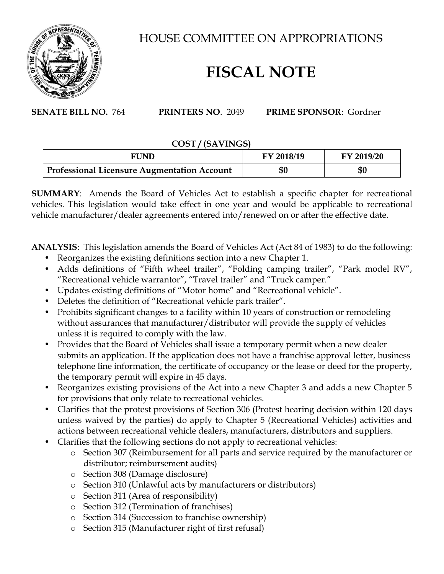

HOUSE COMMITTEE ON APPROPRIATIONS

## **FISCAL NOTE**

**SENATE BILL NO.** 764 **PRINTERS NO**. 2049 **PRIME SPONSOR**: Gordner

## **COST / (SAVINGS)**

| <b>FUND</b>                                 | <b>FY 2018/19</b> | FY 2019/20 |
|---------------------------------------------|-------------------|------------|
| Professional Licensure Augmentation Account | \$0               | \$0        |

**SUMMARY:** Amends the Board of Vehicles Act to establish a specific chapter for recreational vehicles. This legislation would take effect in one year and would be applicable to recreational vehicle manufacturer/dealer agreements entered into/renewed on or after the effective date.

**ANALYSIS**: This legislation amends the Board of Vehicles Act (Act 84 of 1983) to do the following:

- Reorganizes the existing definitions section into a new Chapter 1.
- Adds definitions of "Fifth wheel trailer", "Folding camping trailer", "Park model RV", "Recreational vehicle warrantor", "Travel trailer" and "Truck camper."
- Updates existing definitions of "Motor home" and "Recreational vehicle".
- Deletes the definition of "Recreational vehicle park trailer".
- Prohibits significant changes to a facility within 10 years of construction or remodeling without assurances that manufacturer/distributor will provide the supply of vehicles unless it is required to comply with the law.
- Provides that the Board of Vehicles shall issue a temporary permit when a new dealer submits an application. If the application does not have a franchise approval letter, business telephone line information, the certificate of occupancy or the lease or deed for the property, the temporary permit will expire in 45 days.
- Reorganizes existing provisions of the Act into a new Chapter 3 and adds a new Chapter 5 for provisions that only relate to recreational vehicles.
- Clarifies that the protest provisions of Section 306 (Protest hearing decision within 120 days unless waived by the parties) do apply to Chapter 5 (Recreational Vehicles) activities and actions between recreational vehicle dealers, manufacturers, distributors and suppliers.
- Clarifies that the following sections do not apply to recreational vehicles:
	- o Section 307 (Reimbursement for all parts and service required by the manufacturer or distributor; reimbursement audits)
	- o Section 308 (Damage disclosure)
	- o Section 310 (Unlawful acts by manufacturers or distributors)
	- o Section 311 (Area of responsibility)
	- o Section 312 (Termination of franchises)
	- o Section 314 (Succession to franchise ownership)
	- o Section 315 (Manufacturer right of first refusal)